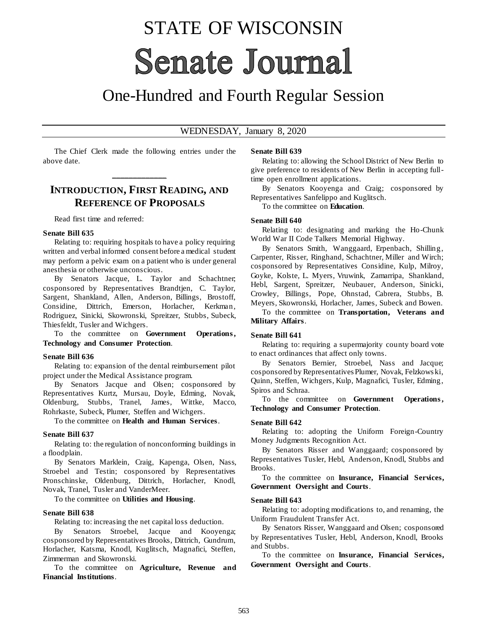# STATE OF WISCONSIN **Senate Journal**

# One-Hundred and Fourth Regular Session

#### WEDNESDAY, January 8, 2020

The Chief Clerk made the following entries under the above date.

**\_\_\_\_\_\_\_\_\_\_\_\_\_**

# **INTRODUCTION, FIRST READING, AND REFERENCE OF PROPOSALS**

Read first time and referred:

#### **Senate Bill 635**

Relating to: requiring hospitals to have a policy requiring written and verbal informed consent before a medical student may perform a pelvic exam on a patient who is under general anesthesia or otherwise unconscious.

By Senators Jacque, L. Taylor and Schachtner; cosponsored by Representatives Brandtjen, C. Taylor, Sargent, Shankland, Allen, Anderson, Billings, Brostoff, Considine, Dittrich, Emerson, Horlacher, Kerkman, Rodriguez, Sinicki, Skowronski, Spreitzer, Stubbs, Subeck, Thiesfeldt, Tusler and Wichgers.

To the committee on **Government Operations**, **Technology and Consumer Protection**.

#### **Senate Bill 636**

Relating to: expansion of the dental reimbursement pilot project under the Medical Assistance program.

By Senators Jacque and Olsen; cosponsored by Representatives Kurtz, Mursau, Doyle, Edming, Novak, Oldenburg, Stubbs, Tranel, James, Wittke, Macco, Rohrkaste, Subeck, Plumer, Steffen and Wichgers.

To the committee on **Health and Human Services**.

#### **Senate Bill 637**

Relating to: the regulation of nonconforming buildings in a floodplain.

By Senators Marklein, Craig, Kapenga, Olsen, Nass, Stroebel and Testin; cosponsored by Representatives Pronschinske, Oldenburg, Dittrich, Horlacher, Knodl, Novak, Tranel, Tusler and VanderMeer.

To the committee on **Utilities and Housing**.

#### **Senate Bill 638**

Relating to: increasing the net capital loss deduction.

By Senators Stroebel, Jacque and Kooyenga; cosponsored by Representatives Brooks, Dittrich, Gundrum, Horlacher, Katsma, Knodl, Kuglitsch, Magnafici, Steffen, Zimmerman and Skowronski.

To the committee on **Agriculture, Revenue and Financial Institutions**.

#### **Senate Bill 639**

Relating to: allowing the School District of New Berlin to give preference to residents of New Berlin in accepting fulltime open enrollment applications.

By Senators Kooyenga and Craig; cosponsored by Representatives Sanfelippo and Kuglitsch.

To the committee on **Education**.

#### **Senate Bill 640**

Relating to: designating and marking the Ho-Chunk World War II Code Talkers Memorial Highway.

By Senators Smith, Wanggaard, Erpenbach, Shilling, Carpenter, Risser, Ringhand, Schachtner, Miller and Wirch; cosponsored by Representatives Considine, Kulp, Milroy, Goyke, Kolste, L. Myers, Vruwink, Zamarripa, Shankland, Hebl, Sargent, Spreitzer, Neubauer, Anderson, Sinicki, Crowley, Billings, Pope, Ohnstad, Cabrera, Stubbs, B. Meyers, Skowronski, Horlacher, James, Subeck and Bowen.

To the committee on **Transportation, Veterans and Military Affairs**.

#### **Senate Bill 641**

Relating to: requiring a supermajority county board vote to enact ordinances that affect only towns.

By Senators Bernier, Stroebel, Nass and Jacque; cosponsored by Representatives Plumer, Novak, Felzkows ki, Quinn, Steffen, Wichgers, Kulp, Magnafici, Tusler, Edming, Spiros and Schraa.

To the committee on **Government Operations , Technology and Consumer Protection**.

#### **Senate Bill 642**

Relating to: adopting the Uniform Foreign-Country Money Judgments Recognition Act.

By Senators Risser and Wanggaard; cosponsored by Representatives Tusler, Hebl, Anderson, Knodl, Stubbs and Brooks.

To the committee on **Insurance, Financial Services, Government Oversight and Courts**.

#### **Senate Bill 643**

Relating to: adopting modifications to, and renaming, the Uniform Fraudulent Transfer Act.

By Senators Risser, Wanggaard and Olsen; cosponsored by Representatives Tusler, Hebl, Anderson, Knodl, Brooks and Stubbs.

To the committee on **Insurance, Financial Services, Government Oversight and Courts**.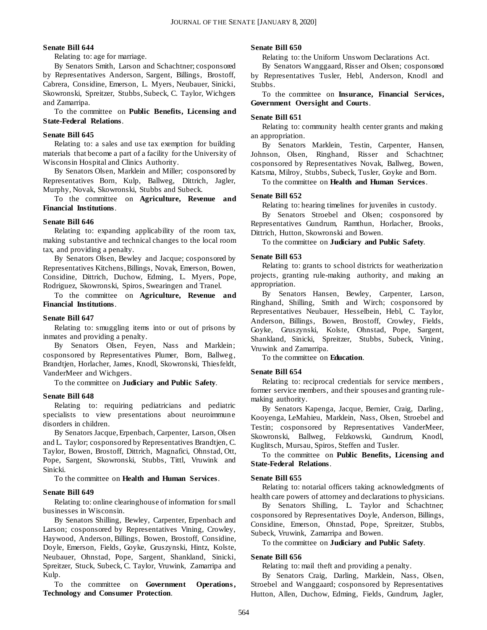#### **Senate Bill 644**

Relating to: age for marriage.

By Senators Smith, Larson and Schachtner; cosponsored by Representatives Anderson, Sargent, Billings, Brostoff, Cabrera, Considine, Emerson, L. Myers, Neubauer, Sinicki, Skowronski, Spreitzer, Stubbs, Subeck, C. Taylor, Wichgers and Zamarripa.

To the committee on **Public Benefits, Licensing and State-Federal Relations**.

#### **Senate Bill 645**

Relating to: a sales and use tax exemption for building materials that become a part of a facility for the University of Wisconsin Hospital and Clinics Authority.

By Senators Olsen, Marklein and Miller; cosponsored by Representatives Born, Kulp, Ballweg, Dittrich, Jagler, Murphy, Novak, Skowronski, Stubbs and Subeck.

To the committee on **Agriculture, Revenue and Financial Institutions**.

#### **Senate Bill 646**

Relating to: expanding applicability of the room tax, making substantive and technical changes to the local room tax, and providing a penalty.

By Senators Olsen, Bewley and Jacque; cosponsored by Representatives Kitchens, Billings, Novak, Emerson, Bowen, Considine, Dittrich, Duchow, Edming, L. Myers, Pope, Rodriguez, Skowronski, Spiros, Swearingen and Tranel.

To the committee on **Agriculture, Revenue and Financial Institutions**.

#### **Senate Bill 647**

Relating to: smuggling items into or out of prisons by inmates and providing a penalty.

By Senators Olsen, Feyen, Nass and Marklein; cosponsored by Representatives Plumer, Born, Ballweg, Brandtjen, Horlacher, James, Knodl, Skowronski, Thiesfeldt, VanderMeer and Wichgers.

To the committee on **Judiciary and Public Safety**.

#### **Senate Bill 648**

Relating to: requiring pediatricians and pediatric specialists to view presentations about neuroimmune disorders in children.

By Senators Jacque, Erpenbach, Carpenter, Larson, Olsen and L. Taylor; cosponsored by Representatives Brandtjen, C. Taylor, Bowen, Brostoff, Dittrich, Magnafici, Ohnstad, Ott, Pope, Sargent, Skowronski, Stubbs, Tittl, Vruwink and Sinicki.

To the committee on **Health and Human Services**.

#### **Senate Bill 649**

Relating to: online clearinghouse of information for small businesses in Wisconsin.

By Senators Shilling, Bewley, Carpenter, Erpenbach and Larson; cosponsored by Representatives Vining, Crowley, Haywood, Anderson, Billings, Bowen, Brostoff, Considine, Doyle, Emerson, Fields, Goyke, Gruszynski, Hintz, Kolste, Neubauer, Ohnstad, Pope, Sargent, Shankland, Sinicki, Spreitzer, Stuck, Subeck, C. Taylor, Vruwink, Zamarripa and Kulp.

To the committee on **Government Operations , Technology and Consumer Protection**.

#### **Senate Bill 650**

Relating to: the Uniform Unsworn Declarations Act.

By Senators Wanggaard, Risser and Olsen; cosponsored by Representatives Tusler, Hebl, Anderson, Knodl and Stubbs.

To the committee on **Insurance, Financial Services, Government Oversight and Courts**.

#### **Senate Bill 651**

Relating to: community health center grants and making an appropriation.

By Senators Marklein, Testin, Carpenter, Hansen, Johnson, Olsen, Ringhand, Risser and Schachtner; cosponsored by Representatives Novak, Ballweg, Bowen, Katsma, Milroy, Stubbs, Subeck, Tusler, Goyke and Born.

To the committee on **Health and Human Services**.

#### **Senate Bill 652**

Relating to: hearing timelines for juveniles in custody.

By Senators Stroebel and Olsen; cosponsored by Representatives Gundrum, Ramthun, Horlacher, Brooks, Dittrich, Hutton, Skowronski and Bowen.

To the committee on **Judiciary and Public Safety**.

#### **Senate Bill 653**

Relating to: grants to school districts for weatherization projects, granting rule-making authority, and making an appropriation.

By Senators Hansen, Bewley, Carpenter, Larson, Ringhand, Shilling, Smith and Wirch; cosponsored by Representatives Neubauer, Hesselbein, Hebl, C. Taylor, Anderson, Billings, Bowen, Brostoff, Crowley, Fields, Goyke, Gruszynski, Kolste, Ohnstad, Pope, Sargent, Shankland, Sinicki, Spreitzer, Stubbs, Subeck, Vining, Vruwink and Zamarripa.

To the committee on **Education**.

#### **Senate Bill 654**

Relating to: reciprocal credentials for service members , former service members, and their spouses and granting rulemaking authority.

By Senators Kapenga, Jacque, Bernier, Craig, Darling, Kooyenga, LeMahieu, Marklein, Nass, Olsen, Stroebel and Testin; cosponsored by Representatives VanderMeer, Skowronski, Ballweg, Felzkowski, Gundrum, Knodl, Kuglitsch, Mursau, Spiros, Steffen and Tusler.

To the committee on **Public Benefits, Licensing and State-Federal Relations**.

#### **Senate Bill 655**

Relating to: notarial officers taking acknowledgments of health care powers of attorney and declarations to physicians.

By Senators Shilling, L. Taylor and Schachtner; cosponsored by Representatives Doyle, Anderson, Billings, Considine, Emerson, Ohnstad, Pope, Spreitzer, Stubbs, Subeck, Vruwink, Zamarripa and Bowen.

To the committee on **Judiciary and Public Safety**.

#### **Senate Bill 656**

Relating to: mail theft and providing a penalty.

By Senators Craig, Darling, Marklein, Nass, Olsen, Stroebel and Wanggaard; cosponsored by Representatives Hutton, Allen, Duchow, Edming, Fields, Gundrum, Jagler,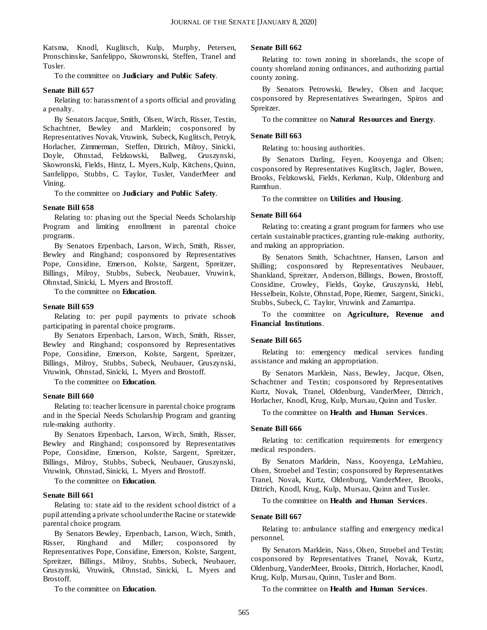Katsma, Knodl, Kuglitsch, Kulp, Murphy, Petersen, Pronschinske, Sanfelippo, Skowronski, Steffen, Tranel and Tusler.

To the committee on **Judiciary and Public Safety**.

#### **Senate Bill 657**

Relating to: harassment of a sports official and providing a penalty.

By Senators Jacque, Smith, Olsen, Wirch, Risser, Testin, Schachtner, Bewley and Marklein; cosponsored by Representatives Novak, Vruwink, Subeck, Kuglitsch, Petryk, Horlacher, Zimmerman, Steffen, Dittrich, Milroy, Sinicki, Doyle, Ohnstad, Felzkowski, Ballweg, Gruszynski, Skowronski, Fields, Hintz, L. Myers, Kulp, Kitchens, Quinn, Sanfelippo, Stubbs, C. Taylor, Tusler, VanderMeer and Vining.

To the committee on **Judiciary and Public Safety**.

#### **Senate Bill 658**

Relating to: phasing out the Special Needs Scholarship Program and limiting enrollment in parental choice programs.

By Senators Erpenbach, Larson, Wirch, Smith, Risser, Bewley and Ringhand; cosponsored by Representatives Pope, Considine, Emerson, Kolste, Sargent, Spreitzer, Billings, Milroy, Stubbs, Subeck, Neubauer, Vruwink, Ohnstad, Sinicki, L. Myers and Brostoff.

To the committee on **Education**.

#### **Senate Bill 659**

Relating to: per pupil payments to private schools participating in parental choice programs.

By Senators Erpenbach, Larson, Wirch, Smith, Risser, Bewley and Ringhand; cosponsored by Representatives Pope, Considine, Emerson, Kolste, Sargent, Spreitzer, Billings, Milroy, Stubbs, Subeck, Neubauer, Gruszynski, Vruwink, Ohnstad, Sinicki, L. Myers and Brostoff.

To the committee on **Education**.

#### **Senate Bill 660**

Relating to: teacher licensure in parental choice programs and in the Special Needs Scholarship Program and granting rule-making authority.

By Senators Erpenbach, Larson, Wirch, Smith, Risser, Bewley and Ringhand; cosponsored by Representatives Pope, Considine, Emerson, Kolste, Sargent, Spreitzer, Billings, Milroy, Stubbs, Subeck, Neubauer, Gruszynski, Vruwink, Ohnstad, Sinicki, L. Myers and Brostoff.

To the committee on **Education**.

#### **Senate Bill 661**

Relating to: state aid to the resident school district of a pupil attending a private school under the Racine or statewide parental choice program.

By Senators Bewley, Erpenbach, Larson, Wirch, Smith, Risser, Ringhand and Miller; cosponsored by Representatives Pope, Considine, Emerson, Kolste, Sargent, Spreitzer, Billings, Milroy, Stubbs, Subeck, Neubauer, Gruszynski, Vruwink, Ohnstad, Sinicki, L. Myers and Brostoff.

To the committee on **Education**.

#### **Senate Bill 662**

Relating to: town zoning in shorelands, the scope of county shoreland zoning ordinances, and authorizing partial county zoning.

By Senators Petrowski, Bewley, Olsen and Jacque; cosponsored by Representatives Swearingen, Spiros and Spreitzer.

To the committee on **Natural Resources and Energy**.

#### **Senate Bill 663**

Relating to: housing authorities.

By Senators Darling, Feyen, Kooyenga and Olsen; cosponsored by Representatives Kuglitsch, Jagler, Bowen, Brooks, Felzkowski, Fields, Kerkman, Kulp, Oldenburg and Ramthun.

To the committee on **Utilities and Housing**.

#### **Senate Bill 664**

Relating to: creating a grant program for farmers who use certain sustainable practices, granting rule-making authority, and making an appropriation.

By Senators Smith, Schachtner, Hansen, Larson and Shilling; cosponsored by Representatives Neubauer, Shankland, Spreitzer, Anderson, Billings, Bowen, Brostoff, Considine, Crowley, Fields, Goyke, Gruszynski, Hebl, Hesselbein, Kolste, Ohnstad, Pope, Riemer, Sargent, Sinicki, Stubbs, Subeck, C. Taylor, Vruwink and Zamarripa.

To the committee on **Agriculture, Revenue and Financial Institutions**.

#### **Senate Bill 665**

Relating to: emergency medical services funding assistance and making an appropriation.

By Senators Marklein, Nass, Bewley, Jacque, Olsen, Schachtner and Testin; cosponsored by Representatives Kurtz, Novak, Tranel, Oldenburg, VanderMeer, Dittrich, Horlacher, Knodl, Krug, Kulp, Mursau, Quinn and Tusler.

To the committee on **Health and Human Services**.

#### **Senate Bill 666**

Relating to: certification requirements for emergency medical responders.

By Senators Marklein, Nass, Kooyenga, LeMahieu, Olsen, Stroebel and Testin; cosponsored by Representatives Tranel, Novak, Kurtz, Oldenburg, VanderMeer, Brooks, Dittrich, Knodl, Krug, Kulp, Mursau, Quinn and Tusler.

To the committee on **Health and Human Services**.

#### **Senate Bill 667**

Relating to: ambulance staffing and emergency medical personnel.

By Senators Marklein, Nass, Olsen, Stroebel and Testin; cosponsored by Representatives Tranel, Novak, Kurtz, Oldenburg, VanderMeer, Brooks, Dittrich, Horlacher, Knodl, Krug, Kulp, Mursau, Quinn, Tusler and Born.

To the committee on **Health and Human Services**.